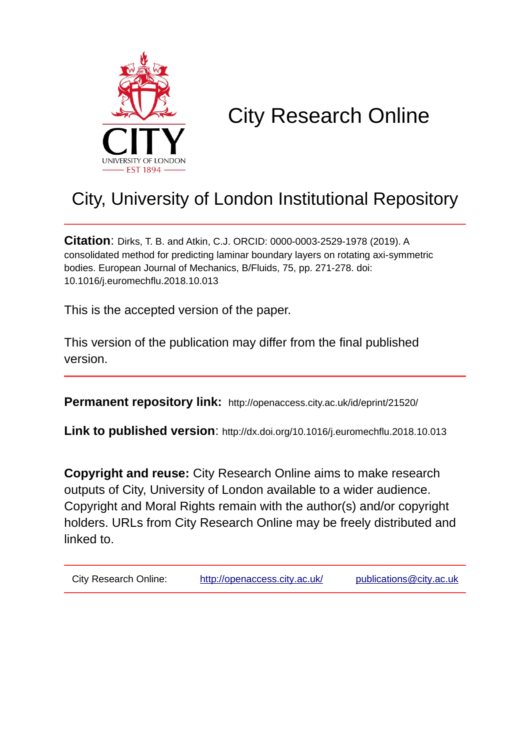

# City Research Online

## City, University of London Institutional Repository

**Citation**: Dirks, T. B. and Atkin, C.J. ORCID: 0000-0003-2529-1978 (2019). A consolidated method for predicting laminar boundary layers on rotating axi-symmetric bodies. European Journal of Mechanics, B/Fluids, 75, pp. 271-278. doi: 10.1016/j.euromechflu.2018.10.013

This is the accepted version of the paper.

This version of the publication may differ from the final published version.

**Permanent repository link:** http://openaccess.city.ac.uk/id/eprint/21520/

**Link to published version**: http://dx.doi.org/10.1016/j.euromechflu.2018.10.013

**Copyright and reuse:** City Research Online aims to make research outputs of City, University of London available to a wider audience. Copyright and Moral Rights remain with the author(s) and/or copyright holders. URLs from City Research Online may be freely distributed and linked to.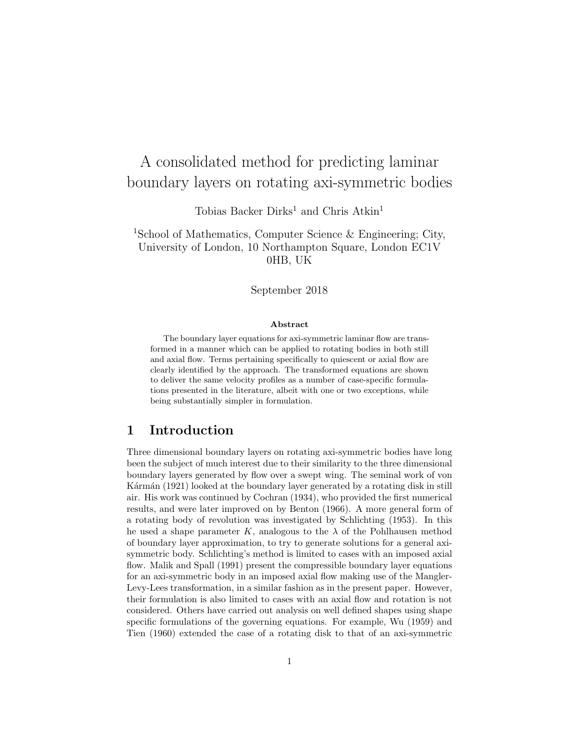## A consolidated method for predicting laminar boundary layers on rotating axi-symmetric bodies

Tobias Backer Dirks<sup>1</sup> and Chris Atkin<sup>1</sup>

<sup>1</sup>School of Mathematics, Computer Science & Engineering; City, University of London, 10 Northampton Square, London EC1V 0HB, UK

September 2018

#### Abstract

The boundary layer equations for axi-symmetric laminar flow are transformed in a manner which can be applied to rotating bodies in both still and axial flow. Terms pertaining specifically to quiescent or axial flow are clearly identified by the approach. The transformed equations are shown to deliver the same velocity profiles as a number of case-specific formulations presented in the literature, albeit with one or two exceptions, while being substantially simpler in formulation.

## 1 Introduction

Three dimensional boundary layers on rotating axi-symmetric bodies have long been the subject of much interest due to their similarity to the three dimensional boundary layers generated by flow over a swept wing. The seminal work of von Kármán (1921) looked at the boundary layer generated by a rotating disk in still air. His work was continued by Cochran (1934), who provided the first numerical results, and were later improved on by Benton (1966). A more general form of a rotating body of revolution was investigated by Schlichting (1953). In this he used a shape parameter K, analogous to the  $\lambda$  of the Pohlhausen method of boundary layer approximation, to try to generate solutions for a general axisymmetric body. Schlichting's method is limited to cases with an imposed axial flow. Malik and Spall (1991) present the compressible boundary layer equations for an axi-symmetric body in an imposed axial flow making use of the Mangler-Levy-Lees transformation, in a similar fashion as in the present paper. However, their formulation is also limited to cases with an axial flow and rotation is not considered. Others have carried out analysis on well defined shapes using shape specific formulations of the governing equations. For example, Wu (1959) and Tien (1960) extended the case of a rotating disk to that of an axi-symmetric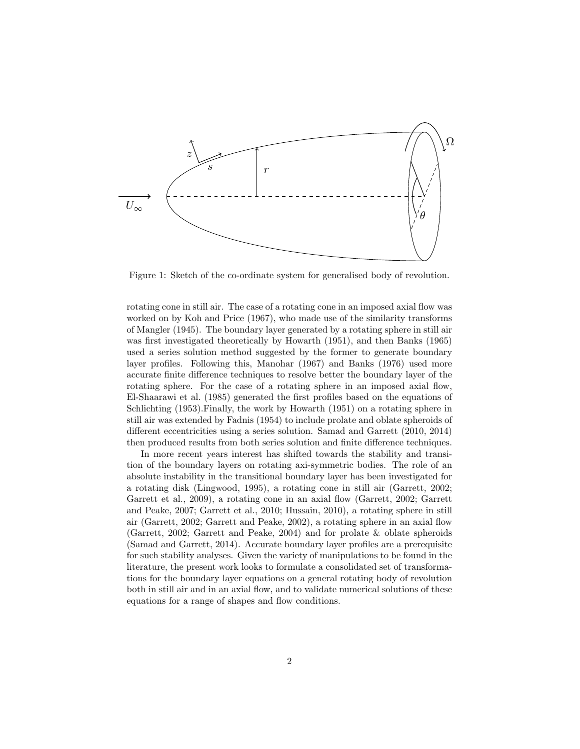

Figure 1: Sketch of the co-ordinate system for generalised body of revolution.

rotating cone in still air. The case of a rotating cone in an imposed axial flow was worked on by Koh and Price (1967), who made use of the similarity transforms of Mangler (1945). The boundary layer generated by a rotating sphere in still air was first investigated theoretically by Howarth (1951), and then Banks (1965) used a series solution method suggested by the former to generate boundary layer profiles. Following this, Manohar (1967) and Banks (1976) used more accurate finite difference techniques to resolve better the boundary layer of the rotating sphere. For the case of a rotating sphere in an imposed axial flow, El-Shaarawi et al. (1985) generated the first profiles based on the equations of Schlichting (1953).Finally, the work by Howarth (1951) on a rotating sphere in still air was extended by Fadnis (1954) to include prolate and oblate spheroids of different eccentricities using a series solution. Samad and Garrett (2010, 2014) then produced results from both series solution and finite difference techniques.

In more recent years interest has shifted towards the stability and transition of the boundary layers on rotating axi-symmetric bodies. The role of an absolute instability in the transitional boundary layer has been investigated for a rotating disk (Lingwood, 1995), a rotating cone in still air (Garrett, 2002; Garrett et al., 2009), a rotating cone in an axial flow (Garrett, 2002; Garrett and Peake, 2007; Garrett et al., 2010; Hussain, 2010), a rotating sphere in still air (Garrett, 2002; Garrett and Peake, 2002), a rotating sphere in an axial flow (Garrett, 2002; Garrett and Peake, 2004) and for prolate & oblate spheroids (Samad and Garrett, 2014). Accurate boundary layer profiles are a prerequisite for such stability analyses. Given the variety of manipulations to be found in the literature, the present work looks to formulate a consolidated set of transformations for the boundary layer equations on a general rotating body of revolution both in still air and in an axial flow, and to validate numerical solutions of these equations for a range of shapes and flow conditions.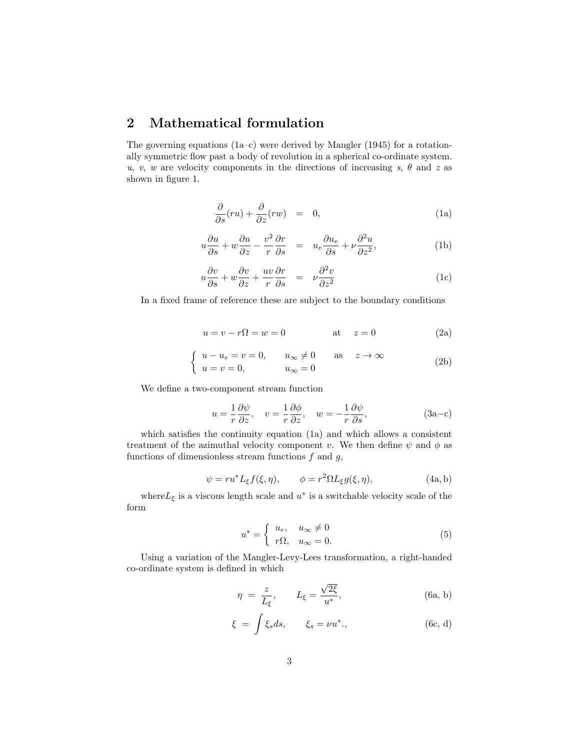## 2 Mathematical formulation

The governing equations  $(1a-c)$  were derived by Mangler  $(1945)$  for a rotationally symmetric flow past a body of revolution in a spherical co-ordinate system. u, v, w are velocity components in the directions of increasing s,  $\theta$  and z as shown in figure 1.

$$
\frac{\partial}{\partial s}(ru) + \frac{\partial}{\partial z}(rw) = 0, \tag{1a}
$$

$$
u\frac{\partial u}{\partial s} + w\frac{\partial u}{\partial z} - \frac{v^2}{r}\frac{\partial r}{\partial s} = u_e\frac{\partial u_e}{\partial s} + \nu\frac{\partial^2 u}{\partial z^2},\tag{1b}
$$

$$
u\frac{\partial v}{\partial s} + w\frac{\partial v}{\partial z} + \frac{uv}{r}\frac{\partial r}{\partial s} = \nu \frac{\partial^2 v}{\partial z^2}
$$
 (1c)

In a fixed frame of reference these are subject to the boundary conditions

$$
u = v - r\Omega = w = 0 \qquad \qquad \text{at} \quad z = 0 \tag{2a}
$$

$$
\begin{cases}\n u - u_e = v = 0, & u_{\infty} \neq 0 \quad \text{as} \quad z \to \infty \\
 u = v = 0, & u_{\infty} = 0\n\end{cases}
$$
\n(2b)

We define a two-component stream function

$$
u = -\frac{1}{r}\frac{\partial\psi}{\partial z}, \quad v = -\frac{1}{r}\frac{\partial\phi}{\partial z}, \quad w = -\frac{1}{r}\frac{\partial\psi}{\partial s}, \tag{3a-c}
$$

which satisfies the continuity equation (1a) and which allows a consistent treatment of the azimuthal velocity component v. We then define  $\psi$  and  $\phi$  as functions of dimensionless stream functions  $f$  and  $g$ ,

$$
\psi = ru^* L_{\xi} f(\xi, \eta), \qquad \phi = r^2 \Omega L_{\xi} g(\xi, \eta), \tag{4a, b}
$$

where  $L_{\xi}$  is a viscous length scale and  $u^*$  is a switchable velocity scale of the form

$$
u^* = \begin{cases} u_e, & u_\infty \neq 0 \\ r\Omega, & u_\infty = 0. \end{cases} \tag{5}
$$

Using a variation of the Mangler-Levy-Lees transformation, a right-handed co-ordinate system is defined in which

$$
\eta = \frac{z}{L_{\xi}}, \qquad L_{\xi} = \frac{\sqrt{2\xi}}{u^*}, \tag{6a, b}
$$

$$
\xi = \int \xi_s ds, \qquad \xi_s = \nu u^*, \qquad (6c, d)
$$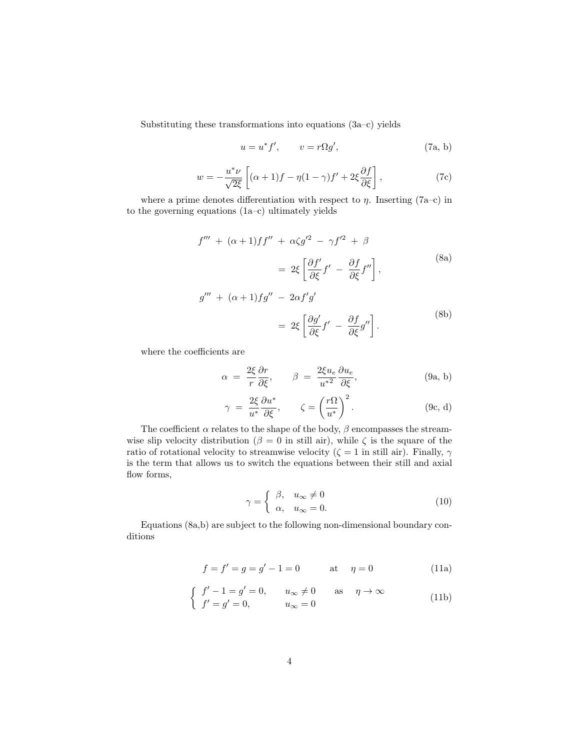Substituting these transformations into equations (3a–c) yields

$$
u = u^* f', \qquad v = r \Omega g', \tag{7a, b}
$$

$$
w = -\frac{u^*\nu}{\sqrt{2\xi}} \left[ (\alpha + 1)f - \eta(1 - \gamma)f' + 2\xi \frac{\partial f}{\partial \xi} \right],
$$
 (7c)

where a prime denotes differentiation with respect to  $\eta$ . Inserting (7a–c) in to the governing equations (1a–c) ultimately yields

$$
f''' + (\alpha + 1)ff'' + \alpha \zeta g'^2 - \gamma f'^2 + \beta
$$
  
=  $2\xi \left[ \frac{\partial f'}{\partial \xi} f' - \frac{\partial f}{\partial \xi} f'' \right],$  (8a)  

$$
g''' + (\alpha + 1)fg'' - 2\alpha f'g'
$$

$$
= 2\xi \left[ \frac{\partial g'}{\partial \xi} f' - \frac{\partial f}{\partial \xi} g'' \right].
$$
 (8b)

where the coefficients are

$$
\alpha = \frac{2\xi}{r} \frac{\partial r}{\partial \xi}, \qquad \beta = \frac{2\xi u_e}{u^{*2}} \frac{\partial u_e}{\partial \xi}, \tag{9a, b}
$$

$$
\gamma = \frac{2\xi}{u^*} \frac{\partial u^*}{\partial \xi}, \qquad \zeta = \left(\frac{r\Omega}{u^*}\right)^2.
$$
 (9c, d)

The coefficient  $\alpha$  relates to the shape of the body,  $\beta$  encompasses the streamwise slip velocity distribution ( $\beta = 0$  in still air), while  $\zeta$  is the square of the ratio of rotational velocity to streamwise velocity ( $\zeta = 1$  in still air). Finally,  $\gamma$ is the term that allows us to switch the equations between their still and axial flow forms,

$$
\gamma = \begin{cases} \beta, & u_{\infty} \neq 0 \\ \alpha, & u_{\infty} = 0. \end{cases}
$$
 (10)

Equations (8a,b) are subject to the following non-dimensional boundary conditions

$$
f = f' = g = g' - 1 = 0 \qquad \text{at} \quad \eta = 0 \tag{11a}
$$

$$
\begin{cases}\nf'-1=g'=0, & u_{\infty}\neq 0 \text{ as } \eta \to \infty \\
f'=g'=0, & u_{\infty}=0\n\end{cases}
$$
\n(11b)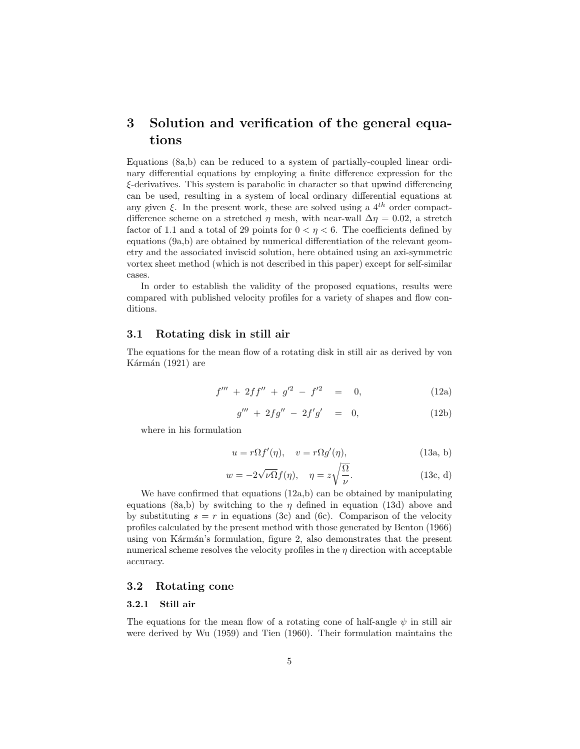## 3 Solution and verification of the general equations

Equations (8a,b) can be reduced to a system of partially-coupled linear ordinary differential equations by employing a finite difference expression for the ξ-derivatives. This system is parabolic in character so that upwind differencing can be used, resulting in a system of local ordinary differential equations at any given  $\xi$ . In the present work, these are solved using a 4<sup>th</sup> order compactdifference scheme on a stretched  $\eta$  mesh, with near-wall  $\Delta \eta = 0.02$ , a stretch factor of 1.1 and a total of 29 points for  $0 < \eta < 6$ . The coefficients defined by equations (9a,b) are obtained by numerical differentiation of the relevant geometry and the associated inviscid solution, here obtained using an axi-symmetric vortex sheet method (which is not described in this paper) except for self-similar cases.

In order to establish the validity of the proposed equations, results were compared with published velocity profiles for a variety of shapes and flow conditions.

#### 3.1 Rotating disk in still air

The equations for the mean flow of a rotating disk in still air as derived by von Kármán  $(1921)$  are

$$
f''' + 2ff'' + g'^2 - f'^2 = 0,
$$
 (12a)

$$
g''' + 2fg'' - 2f'g' = 0,
$$
 (12b)

where in his formulation

$$
u = r\Omega f'(\eta), \quad v = r\Omega g'(\eta), \tag{13a, b}
$$

$$
w = -2\sqrt{\nu\Omega}f(\eta), \quad \eta = z\sqrt{\frac{\Omega}{\nu}}.
$$
 (13c, d)

We have confirmed that equations  $(12a,b)$  can be obtained by manipulating equations (8a,b) by switching to the  $\eta$  defined in equation (13d) above and by substituting  $s = r$  in equations (3c) and (6c). Comparison of the velocity profiles calculated by the present method with those generated by Benton (1966) using von Kármán's formulation, figure 2, also demonstrates that the present numerical scheme resolves the velocity profiles in the  $\eta$  direction with acceptable accuracy.

#### 3.2 Rotating cone

#### 3.2.1 Still air

The equations for the mean flow of a rotating cone of half-angle  $\psi$  in still air were derived by Wu (1959) and Tien (1960). Their formulation maintains the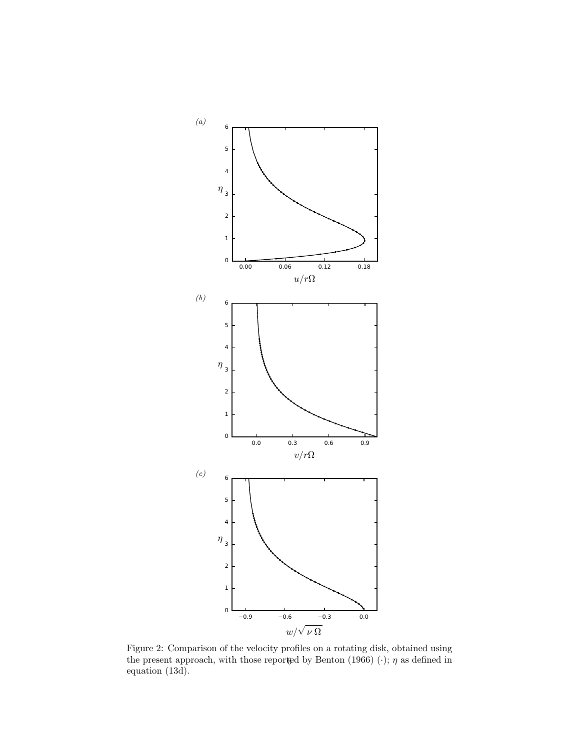

Figure 2: Comparison of the velocity profiles on a rotating disk, obtained using the present approach, with those reported by Benton (1966)  $(\cdot)$ ;  $\eta$  as defined in equation (13d).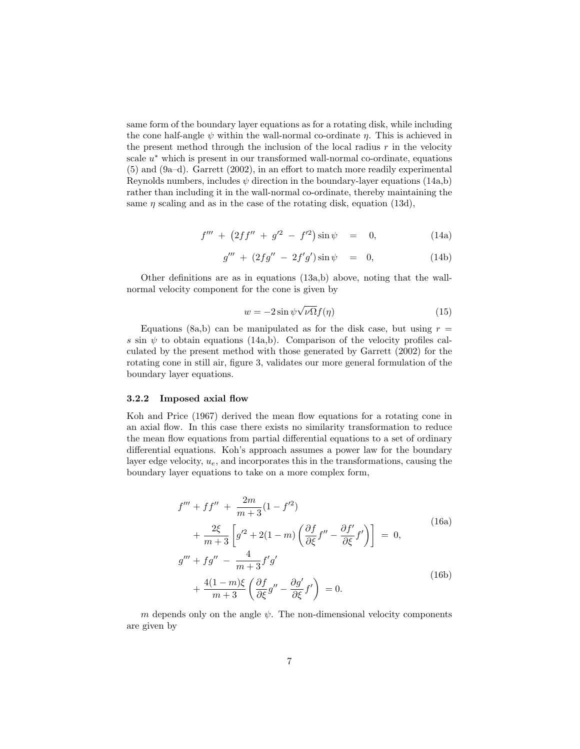same form of the boundary layer equations as for a rotating disk, while including the cone half-angle  $\psi$  within the wall-normal co-ordinate  $\eta$ . This is achieved in the present method through the inclusion of the local radius  $r$  in the velocity scale u ∗ which is present in our transformed wall-normal co-ordinate, equations (5) and (9a–d). Garrett (2002), in an effort to match more readily experimental Reynolds numbers, includes  $\psi$  direction in the boundary-layer equations (14a,b) rather than including it in the wall-normal co-ordinate, thereby maintaining the same  $\eta$  scaling and as in the case of the rotating disk, equation (13d),

$$
f''' + (2ff'' + g'^2 - f'^2)\sin\psi = 0,
$$
 (14a)

$$
g''' + (2fg'' - 2f'g')\sin\psi = 0,
$$
 (14b)

Other definitions are as in equations (13a,b) above, noting that the wallnormal velocity component for the cone is given by

$$
w = -2\sin\psi\sqrt{\nu\Omega}f(\eta) \tag{15}
$$

Equations (8a,b) can be manipulated as for the disk case, but using  $r =$ s sin  $\psi$  to obtain equations (14a,b). Comparison of the velocity profiles calculated by the present method with those generated by Garrett (2002) for the rotating cone in still air, figure 3, validates our more general formulation of the boundary layer equations.

#### 3.2.2 Imposed axial flow

Koh and Price (1967) derived the mean flow equations for a rotating cone in an axial flow. In this case there exists no similarity transformation to reduce the mean flow equations from partial differential equations to a set of ordinary differential equations. Koh's approach assumes a power law for the boundary layer edge velocity,  $u_e$ , and incorporates this in the transformations, causing the boundary layer equations to take on a more complex form,

$$
f''' + ff'' + \frac{2m}{m+3}(1 - f'^2)
$$
  
+ 
$$
\frac{2\xi}{m+3} \left[ g'^2 + 2(1 - m) \left( \frac{\partial f}{\partial \xi} f'' - \frac{\partial f'}{\partial \xi} f' \right) \right] = 0,
$$
  

$$
g''' + fg'' - \frac{4}{m+3} f'g'
$$
  
+ 
$$
\frac{4(1-m)\xi}{m+3} \left( \frac{\partial f}{\partial \xi} g'' - \frac{\partial g'}{\partial \xi} f' \right) = 0.
$$
 (16b)

m depends only on the angle  $\psi$ . The non-dimensional velocity components are given by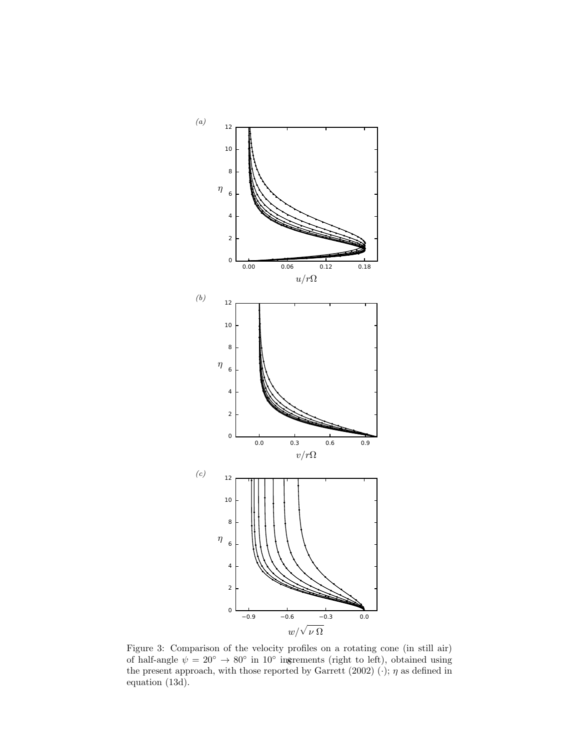

Figure 3: Comparison of the velocity profiles on a rotating cone (in still air) of half-angle  $\psi = 20^{\circ} \rightarrow 80^{\circ}$  in  $10^{\circ}$  ingrements (right to left), obtained using the present approach, with those reported by Garrett (2002)  $(\cdot)$ ;  $\eta$  as defined in equation (13d).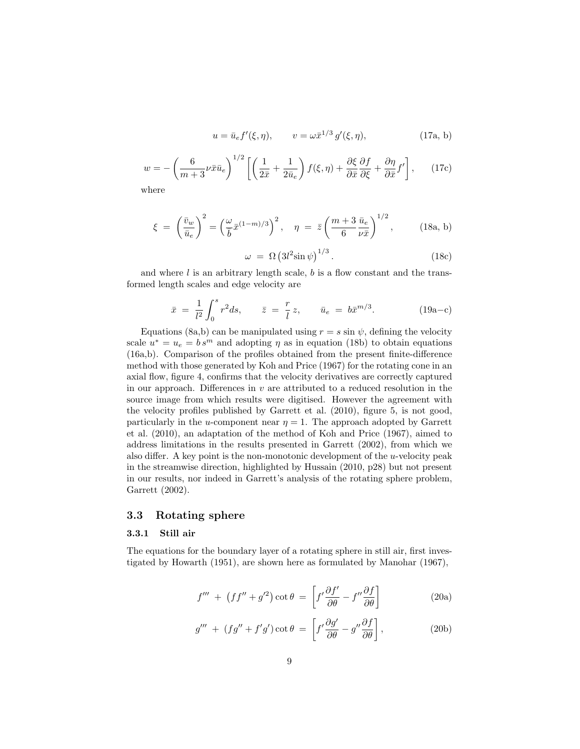$$
u = \bar{u}_e f'(\xi, \eta), \qquad v = \omega \bar{x}^{1/3} g'(\xi, \eta),
$$
 (17a, b)

$$
w = -\left(\frac{6}{m+3}\nu\bar{x}\bar{u}_e\right)^{1/2} \left[\left(\frac{1}{2\bar{x}} + \frac{1}{2\bar{u}_e}\right)f(\xi,\eta) + \frac{\partial\xi}{\partial\bar{x}}\frac{\partial f}{\partial\xi} + \frac{\partial\eta}{\partial\bar{x}}f'\right],\qquad(17c)
$$
where

where

$$
\xi = \left(\frac{\bar{v}_w}{\bar{u}_e}\right)^2 = \left(\frac{\omega}{\bar{b}}\bar{x}^{(1-m)/3}\right)^2, \quad \eta = \bar{z}\left(\frac{m+3}{6}\frac{\bar{u}_e}{\nu\bar{x}}\right)^{1/2},\tag{18a, b}
$$

$$
\omega = \Omega \left( 3l^2 \sin \psi \right)^{1/3}.
$$
 (18c)

and where  $l$  is an arbitrary length scale,  $b$  is a flow constant and the transformed length scales and edge velocity are

$$
\bar{x} = \frac{1}{l^2} \int_0^s r^2 ds, \qquad \bar{z} = \frac{r}{l} z, \qquad \bar{u}_e = b \bar{x}^{m/3}.
$$
 (19a-c)

Equations (8a,b) can be manipulated using  $r = s \sin \psi$ , defining the velocity scale  $u^* = u_e = b s^m$  and adopting  $\eta$  as in equation (18b) to obtain equations (16a,b). Comparison of the profiles obtained from the present finite-difference method with those generated by Koh and Price (1967) for the rotating cone in an axial flow, figure 4, confirms that the velocity derivatives are correctly captured in our approach. Differences in  $v$  are attributed to a reduced resolution in the source image from which results were digitised. However the agreement with the velocity profiles published by Garrett et al. (2010), figure 5, is not good, particularly in the u-component near  $\eta = 1$ . The approach adopted by Garrett et al. (2010), an adaptation of the method of Koh and Price (1967), aimed to address limitations in the results presented in Garrett (2002), from which we also differ. A key point is the non-monotonic development of the  $u$ -velocity peak in the streamwise direction, highlighted by Hussain (2010, p28) but not present in our results, nor indeed in Garrett's analysis of the rotating sphere problem, Garrett (2002).

#### 3.3 Rotating sphere

#### 3.3.1 Still air

The equations for the boundary layer of a rotating sphere in still air, first investigated by Howarth (1951), are shown here as formulated by Manohar (1967),

$$
f''' + (ff'' + g'^2) \cot \theta = \left[ f' \frac{\partial f'}{\partial \theta} - f'' \frac{\partial f}{\partial \theta} \right]
$$
 (20a)

$$
g''' + (fg'' + f'g') \cot \theta = \left[ f' \frac{\partial g'}{\partial \theta} - g'' \frac{\partial f}{\partial \theta} \right],
$$
 (20b)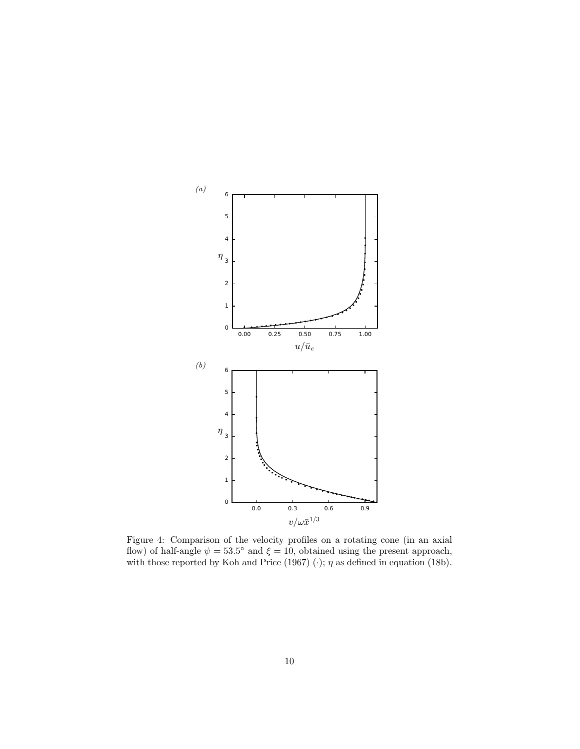

Figure 4: Comparison of the velocity profiles on a rotating cone (in an axial flow) of half-angle  $\psi = 53.5^{\circ}$  and  $\xi = 10$ , obtained using the present approach, with those reported by Koh and Price (1967)  $(\cdot)$ ;  $\eta$  as defined in equation (18b).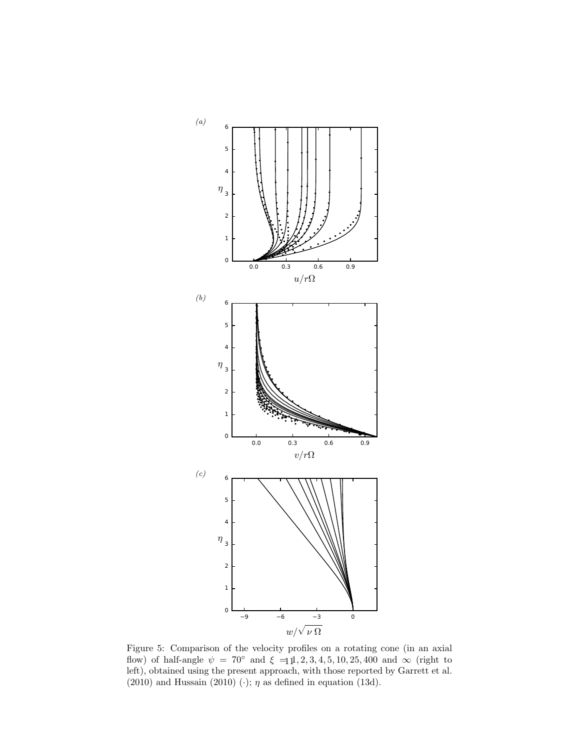

Figure 5: Comparison of the velocity profiles on a rotating cone (in an axial flow) of half-angle  $\psi = 70^{\circ}$  and  $\xi = 11, 2, 3, 4, 5, 10, 25, 400$  and  $\infty$  (right to left), obtained using the present approach, with those reported by Garrett et al. (2010) and Hussain (2010) ( $\cdot$ );  $\eta$  as defined in equation (13d).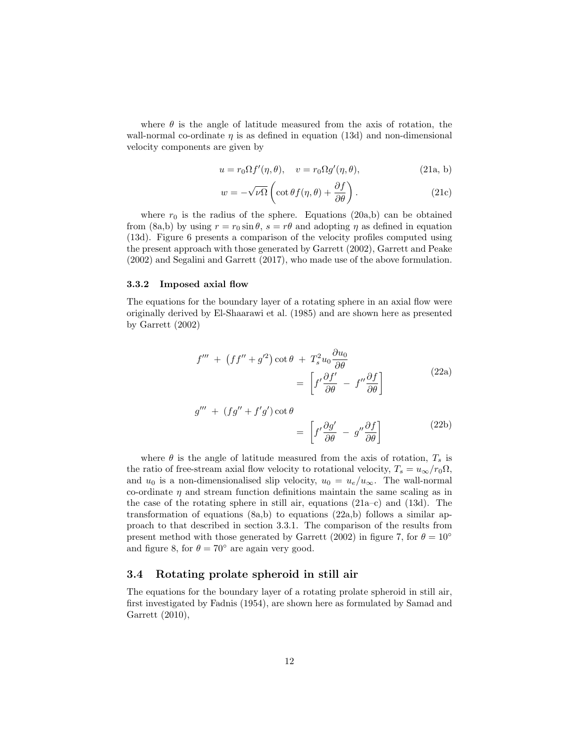where  $\theta$  is the angle of latitude measured from the axis of rotation, the wall-normal co-ordinate  $\eta$  is as defined in equation (13d) and non-dimensional velocity components are given by

$$
u = r_0 \Omega f'(\eta, \theta), \quad v = r_0 \Omega g'(\eta, \theta), \tag{21a, b}
$$

$$
w = -\sqrt{\nu \Omega} \left( \cot \theta f(\eta, \theta) + \frac{\partial f}{\partial \theta} \right).
$$
 (21c)

where  $r_0$  is the radius of the sphere. Equations (20a,b) can be obtained from (8a,b) by using  $r = r_0 \sin \theta$ ,  $s = r\theta$  and adopting  $\eta$  as defined in equation (13d). Figure 6 presents a comparison of the velocity profiles computed using the present approach with those generated by Garrett (2002), Garrett and Peake (2002) and Segalini and Garrett (2017), who made use of the above formulation.

#### 3.3.2 Imposed axial flow

The equations for the boundary layer of a rotating sphere in an axial flow were originally derived by El-Shaarawi et al. (1985) and are shown here as presented by Garrett (2002)

$$
f''' + (ff'' + g'^2) \cot \theta + T_s^2 u_0 \frac{\partial u_0}{\partial \theta} = \left[ f' \frac{\partial f'}{\partial \theta} - f'' \frac{\partial f}{\partial \theta} \right]
$$
(22a)

$$
g''' + (fg'' + f'g') \cot \theta
$$
  
=  $\left[ f' \frac{\partial g'}{\partial \theta} - g'' \frac{\partial f}{\partial \theta} \right]$  (22b)

where  $\theta$  is the angle of latitude measured from the axis of rotation,  $T_s$  is the ratio of free-stream axial flow velocity to rotational velocity,  $T_s = u_{\infty}/r_0\Omega$ , and  $u_0$  is a non-dimensionalised slip velocity,  $u_0 = u_e/u_\infty$ . The wall-normal co-ordinate  $\eta$  and stream function definitions maintain the same scaling as in the case of the rotating sphere in still air, equations (21a–c) and (13d). The transformation of equations  $(8a,b)$  to equations  $(22a,b)$  follows a similar approach to that described in section 3.3.1. The comparison of the results from present method with those generated by Garrett (2002) in figure 7, for  $\theta = 10^{\circ}$ and figure 8, for  $\theta = 70^{\circ}$  are again very good.

#### 3.4 Rotating prolate spheroid in still air

The equations for the boundary layer of a rotating prolate spheroid in still air, first investigated by Fadnis (1954), are shown here as formulated by Samad and Garrett (2010),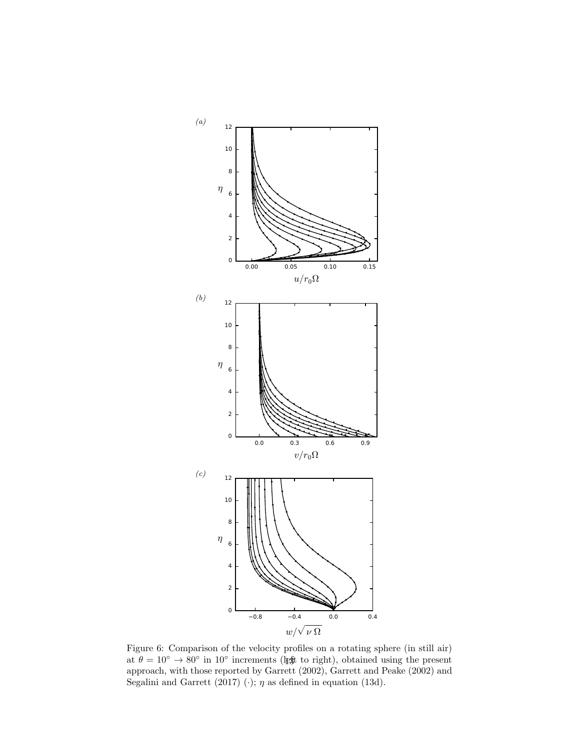

Figure 6: Comparison of the velocity profiles on a rotating sphere (in still air) at  $\theta = 10^{\circ} \rightarrow 80^{\circ}$  in 10<sup>°</sup> increments (left to right), obtained using the present approach, with those reported by Garrett (2002), Garrett and Peake (2002) and Segalini and Garrett (2017)  $(\cdot)$ ;  $\eta$  as defined in equation (13d).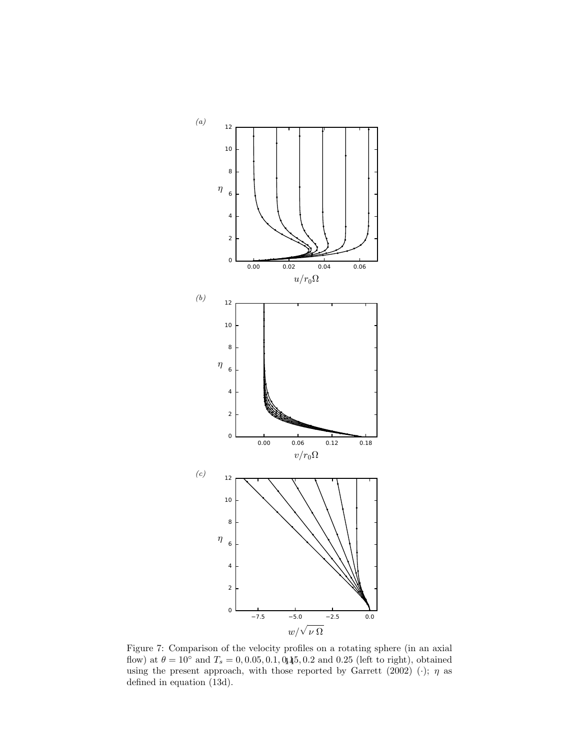

Figure 7: Comparison of the velocity profiles on a rotating sphere (in an axial flow) at  $\theta = 10^{\circ}$  and  $T_s = 0, 0.05, 0.1, 0.1, 0.1, 0.25$  (left to right), obtained using the present approach, with those reported by Garrett (2002) (·);  $\eta$  as defined in equation (13d).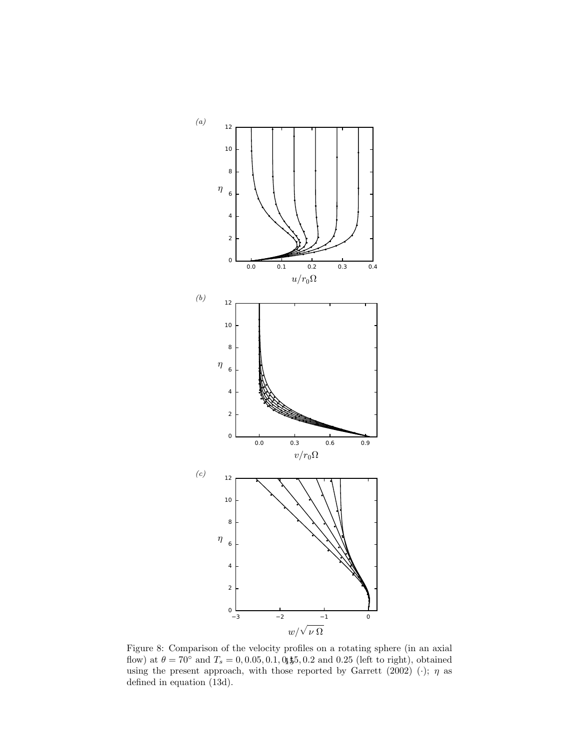

Figure 8: Comparison of the velocity profiles on a rotating sphere (in an axial flow) at  $\theta = 70^{\circ}$  and  $T_s = 0, 0.05, 0.1, 0.1, 0.5, 0.2$  and 0.25 (left to right), obtained using the present approach, with those reported by Garrett (2002) (·);  $\eta$  as defined in equation (13d).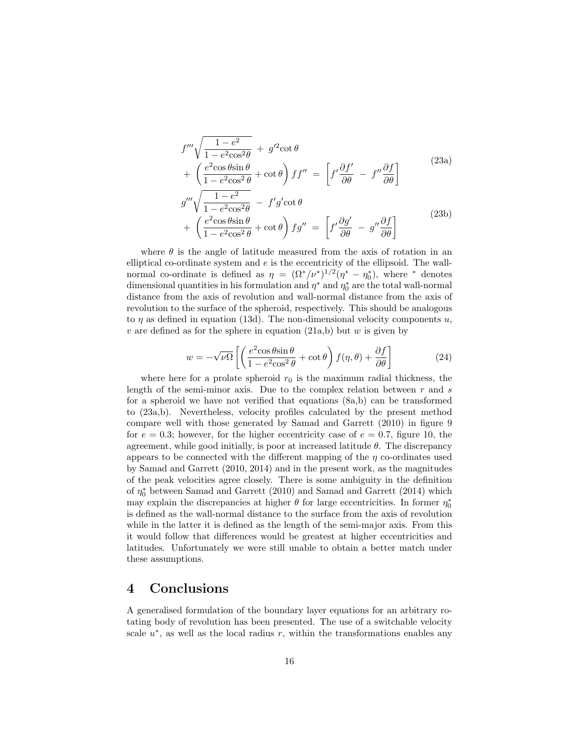$$
f''' \sqrt{\frac{1 - e^2}{1 - e^2 \cos^2 \theta}} + g'^2 \cot \theta
$$
  
+ 
$$
\left(\frac{e^2 \cos \theta \sin \theta}{1 - e^2 \cos^2 \theta} + \cot \theta\right) ff'' = \left[f' \frac{\partial f'}{\partial \theta} - f'' \frac{\partial f}{\partial \theta}\right]
$$
  

$$
g''' \sqrt{\frac{1 - e^2}{1 - e^2 \cos^2 \theta}} - f'g' \cot \theta
$$
  
+ 
$$
\left(\frac{e^2 \cos \theta \sin \theta}{1 - e^2 \cos^2 \theta} + \cot \theta\right) fg'' = \left[f' \frac{\partial g'}{\partial \theta} - g'' \frac{\partial f}{\partial \theta}\right]
$$
  
(23b)

where  $\theta$  is the angle of latitude measured from the axis of rotation in an elliptical co-ordinate system and  $e$  is the eccentricity of the ellipsoid. The wallnormal co-ordinate is defined as  $\eta = (\Omega^*/\nu^*)^{1/2}(\eta^* - \eta_0^*)$ , where <sup>\*</sup> denotes dimensional quantities in his formulation and  $\eta^*$  and  $\eta_0^*$  are the total wall-normal distance from the axis of revolution and wall-normal distance from the axis of revolution to the surface of the spheroid, respectively. This should be analogous to  $\eta$  as defined in equation (13d). The non-dimensional velocity components u, v are defined as for the sphere in equation  $(21a,b)$  but w is given by

$$
w = -\sqrt{\nu \Omega} \left[ \left( \frac{e^2 \cos \theta \sin \theta}{1 - e^2 \cos^2 \theta} + \cot \theta \right) f(\eta, \theta) + \frac{\partial f}{\partial \theta} \right]
$$
(24)

where here for a prolate spheroid  $r_0$  is the maximum radial thickness, the length of the semi-minor axis. Due to the complex relation between  $r$  and  $s$ for a spheroid we have not verified that equations (8a,b) can be transformed to (23a,b). Nevertheless, velocity profiles calculated by the present method compare well with those generated by Samad and Garrett (2010) in figure 9 for  $e = 0.3$ ; however, for the higher eccentricity case of  $e = 0.7$ , figure 10, the agreement, while good initially, is poor at increased latitude  $\theta$ . The discrepancy appears to be connected with the different mapping of the  $\eta$  co-ordinates used by Samad and Garrett (2010, 2014) and in the present work, as the magnitudes of the peak velocities agree closely. There is some ambiguity in the definition of  $\eta_0^*$  between Samad and Garrett (2010) and Samad and Garrett (2014) which may explain the discrepancies at higher  $\theta$  for large eccentricities. In former  $\eta_0^*$ is defined as the wall-normal distance to the surface from the axis of revolution while in the latter it is defined as the length of the semi-major axis. From this it would follow that differences would be greatest at higher eccentricities and latitudes. Unfortunately we were still unable to obtain a better match under these assumptions.

### 4 Conclusions

A generalised formulation of the boundary layer equations for an arbitrary rotating body of revolution has been presented. The use of a switchable velocity scale  $u^*$ , as well as the local radius r, within the transformations enables any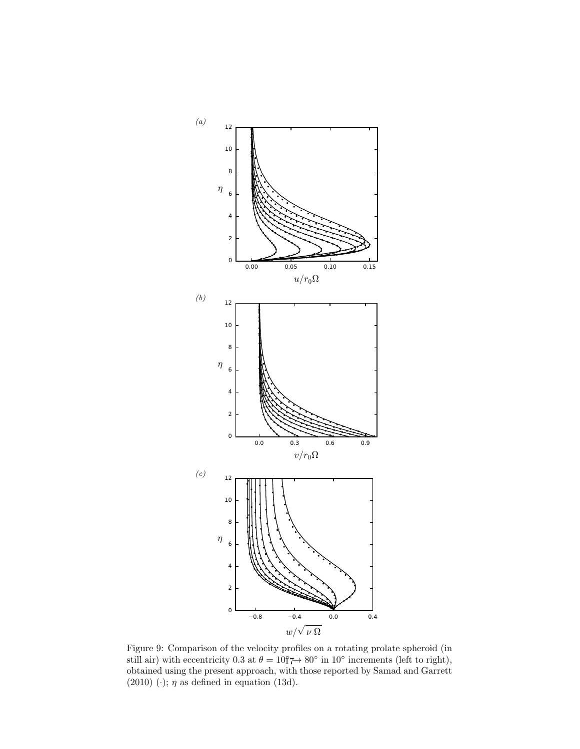

Figure 9: Comparison of the velocity profiles on a rotating prolate spheroid (in still air) with eccentricity 0.3 at  $\theta = 10^{\circ}$   $\rightarrow$  80 $^{\circ}$  in 10 $^{\circ}$  increments (left to right), obtained using the present approach, with those reported by Samad and Garrett (2010) (·);  $\eta$  as defined in equation (13d).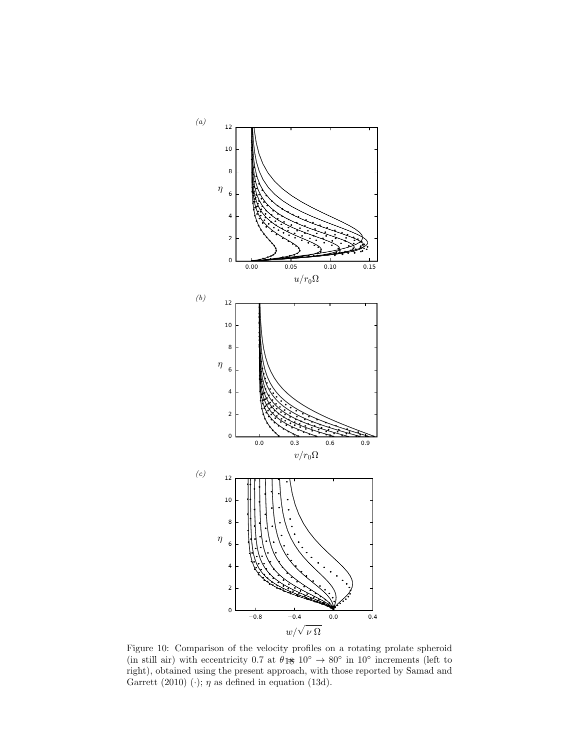

Figure 10: Comparison of the velocity profiles on a rotating prolate spheroid (in still air) with eccentricity 0.7 at  $\theta$  1 $\theta$  10<sup>°</sup>  $\rightarrow$  80<sup>°</sup> in 10<sup>°</sup> increments (left to right), obtained using the present approach, with those reported by Samad and Garrett (2010) (·);  $\eta$  as defined in equation (13d).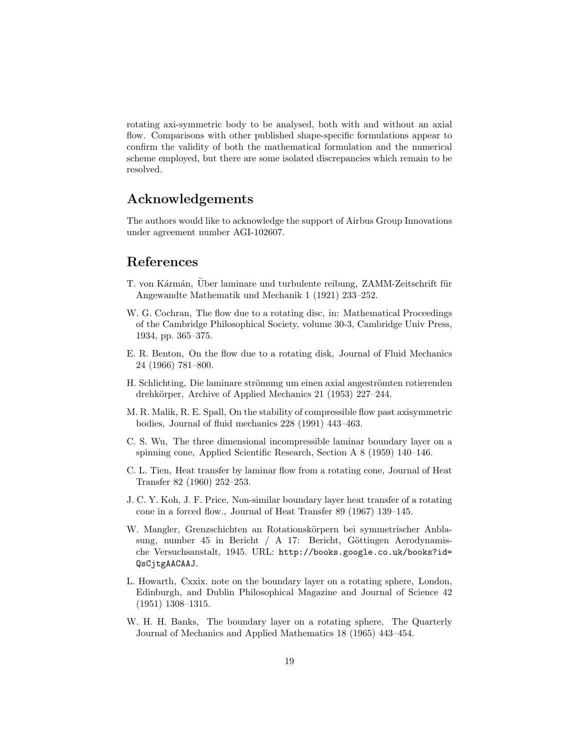rotating axi-symmetric body to be analysed, both with and without an axial flow. Comparisons with other published shape-specific formulations appear to confirm the validity of both the mathematical formulation and the numerical scheme employed, but there are some isolated discrepancies which remain to be resolved.

## Acknowledgements

The authors would like to acknowledge the support of Airbus Group Innovations under agreement number AGI-102607.

### References

- T. von Kármán, Über laminare und turbulente reibung, ZAMM-Zeitschrift für Angewandte Mathematik und Mechanik 1 (1921) 233–252.
- W. G. Cochran, The flow due to a rotating disc, in: Mathematical Proceedings of the Cambridge Philosophical Society, volume 30-3, Cambridge Univ Press, 1934, pp. 365–375.
- E. R. Benton, On the flow due to a rotating disk, Journal of Fluid Mechanics 24 (1966) 781–800.
- H. Schlichting, Die laminare strömung um einen axial angeströmten rotierenden drehkörper, Archive of Applied Mechanics 21 (1953) 227–244.
- M. R. Malik, R. E. Spall, On the stability of compressible flow past axisymmetric bodies, Journal of fluid mechanics 228 (1991) 443–463.
- C. S. Wu, The three dimensional incompressible laminar boundary layer on a spinning cone, Applied Scientific Research, Section A 8 (1959) 140–146.
- C. L. Tien, Heat transfer by laminar flow from a rotating cone, Journal of Heat Transfer 82 (1960) 252–253.
- J. C. Y. Koh, J. F. Price, Non-similar boundary layer heat transfer of a rotating cone in a forced flow., Journal of Heat Transfer 89 (1967) 139–145.
- W. Mangler, Grenzschichten an Rotationskörpern bei symmetrischer Anblasung, number 45 in Bericht  $/ A 17$ : Bericht, Göttingen Aerodynamische Versuchsanstalt, 1945. URL: http://books.google.co.uk/books?id= QsCjtgAACAAJ.
- L. Howarth, Cxxix. note on the boundary layer on a rotating sphere, London, Edinburgh, and Dublin Philosophical Magazine and Journal of Science 42 (1951) 1308–1315.
- W. H. H. Banks, The boundary layer on a rotating sphere, The Quarterly Journal of Mechanics and Applied Mathematics 18 (1965) 443–454.